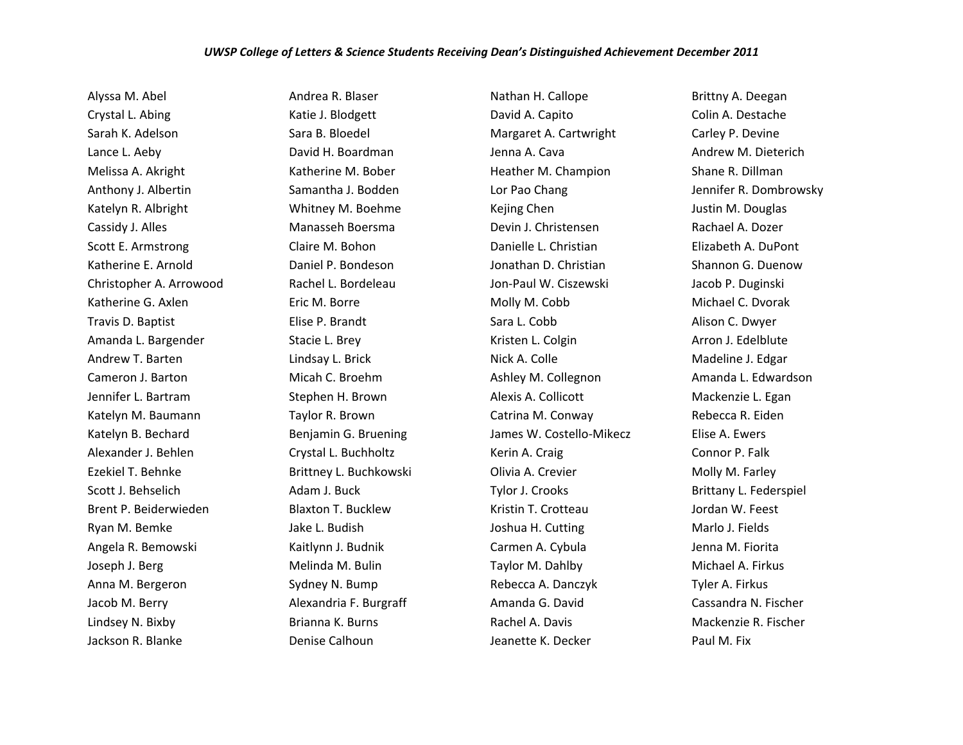## *UWSP College of Letters & Science Students Receiving Dean's Distinguished Achievement December 2011*

Alyssa M. Abel Crystal L. Abing Sarah K. Adelson Lance L. Aeby Melissa A. Akright Anthony J. Albertin Katelyn R. Albright Cassidy J. Alles Scott E. Armstrong Katherine E. Arnold Christopher A. Arrowood Katherine G. Axlen Travis D. Baptist Amanda L. Bargender Andrew T. Barten Cameron J. Barton Jennifer L. Bartram Katelyn M. Baumann Katelyn B. Bechard Alexander J. Behlen Ezekiel T. Behnke Scott J. Behselich Brent P. Beiderwieden Ryan M. Bemke Angela R. Bemowski Joseph J. Berg Anna M. Bergeron Jacob M. Berry Lindsey N. Bixby Jackson R. Blanke

Andrea R. Blaser Katie J. Blodgett Sara B. Bloedel David H. Boardman Katherine M. Bober Samantha J. Bodden Whitney M. Boehme Manasseh Boersma Claire M. Bohon Daniel P. Bondeson Rachel L. Bordeleau Eric M. Borre Elise P. Brandt Stacie L. Brey Lindsay L. Brick Micah C. Broehm Stephen H. Brown Taylor R. Brown Benjamin G. Bruening Crystal L. Buchholtz Brittney L. Buchkowski Adam J. Buck Blaxton T. Bucklew Jake L. Budish Kaitlynn J. Budnik Melinda M. Bulin Sydney N. Bump Alexandria F. Burgraff Brianna K. Burns Denise Calhoun

Nathan H. Callope David A. Capito Margaret A. Cartwright Jenna A. Cava Heather M. Champion Lor Pao Chang Kejing Chen Devin J. Christensen Danielle L. Christian Jonathan D. Christian Jon-Paul W. Ciszewski Molly M. Cobb Sara L. Cobb Kristen L. Colgin Nick A. Colle Ashley M. Collegnon Alexis A. Collicott Catrina M. Conway James W. Costello-Mikecz Kerin A. Craig Olivia A. Crevier Tylor J. Crooks Kristin T. Crotteau Joshua H. Cutting Carmen A. Cybula Taylor M. Dahlby Rebecca A. Danczyk Amanda G. David Rachel A. Davis Jeanette K. Decker

Brittny A. Deegan Colin A. Destache Carley P. Devine Andrew M. Dieterich Shane R. Dillman Jennifer R. Dombrowsky Justin M. Douglas Rachael A. Dozer Elizabeth A. DuPont Shannon G. Duenow Jacob P. Duginski Michael C. Dvorak Alison C. Dwyer Arron J. Edelblute Madeline J. Edgar Amanda L. Edwardson Mackenzie L. Egan Rebecca R. Eiden Elise A. Ewers Connor P. Falk Molly M. Farley Brittany L. Federspiel Jordan W. Feest Marlo J. Fields Jenna M. Fiorita Michael A. Firkus Tyler A. Firkus Cassandra N. Fischer Mackenzie R. Fischer Paul M. Fix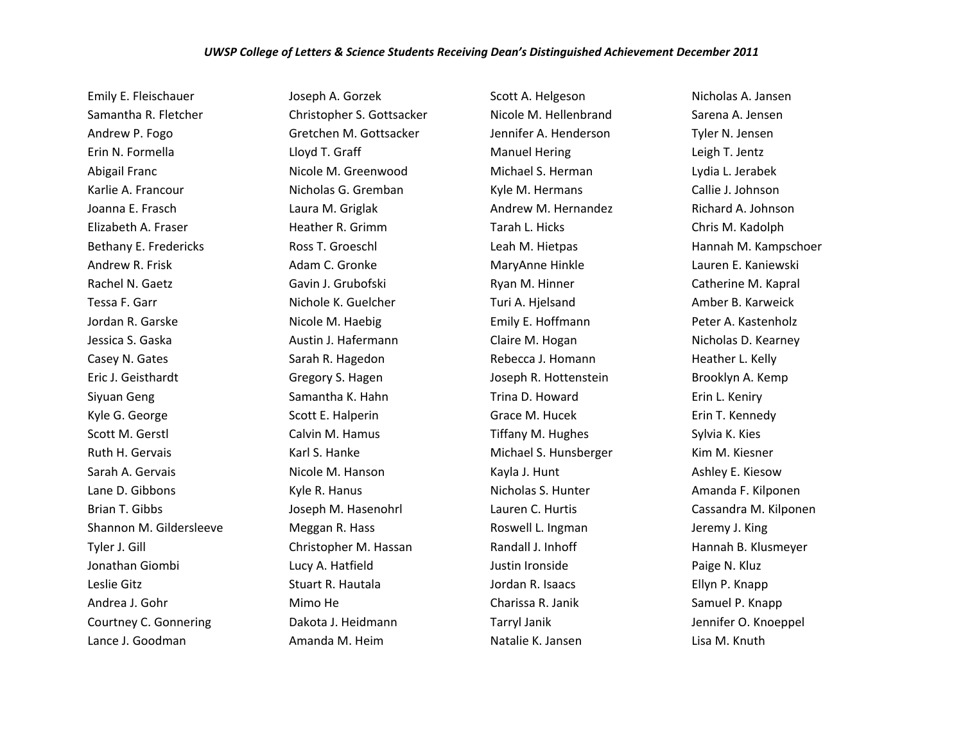Emily E. Fleischauer Samantha R. Fletcher Andrew P. Fogo Erin N. Formella Abigail Franc Karlie A. Francour Joanna E. Frasch Elizabeth A. Fraser Bethany E. Fredericks Andrew R. Frisk Rachel N. Gaetz Tessa F. Garr Jordan R. Garske Jessica S. Gaska Casey N. Gates Eric J. Geisthardt Siyuan Geng Kyle G. George Scott M. Gerstl Ruth H. Gervais Sarah A. Gervais Lane D. Gibbons Brian T. Gibbs Shannon M. Gildersleeve Tyler J. Gill Jonathan Giombi Leslie Gitz Andrea J. Gohr Courtney C. Gonnering Lance J. Goodman

Joseph A. Gorzek Christopher S. Gottsacker Gretchen M. Gottsacker Lloyd T. Graff Nicole M. Greenwood Nicholas G. Gremban Laura M. Griglak Heather R. Grimm Ross T. Groeschl Adam C. Gronke Gavin J. Grubofski Nichole K. Guelcher Nicole M. Haebig Austin J. Hafermann Sarah R. Hagedon Gregory S. Hagen Samantha K. Hahn Scott E. Halperin Calvin M. Hamus Karl S. Hanke Nicole M. Hanson Kyle R. Hanus Joseph M. Hasenohrl Meggan R. Hass Christopher M. Hassan Lucy A. Hatfield Stuart R. Hautala Mimo He Dakota J. Heidmann Amanda M. Heim

Scott A. Helgeson Nicole M. Hellenbrand Jennifer A. Henderson Manuel Hering Michael S. Herman Kyle M. Hermans Andrew M. Hernandez Tarah L. Hicks Leah M. Hietpas MaryAnne Hinkle Ryan M. Hinner Turi A. Hjelsand Emily E. Hoffmann Claire M. Hogan Rebecca J. Homann Joseph R. Hottenstein Trina D. Howard Grace M. Hucek Tiffany M. Hughes Michael S. Hunsberger Kayla J. Hunt Nicholas S. Hunter Lauren C. Hurtis Roswell L. Ingman Randall J. Inhoff Justin Ironside Jordan R. Isaacs Charissa R. Janik Tarryl Janik Natalie K. Jansen

Nicholas A. Jansen Sarena A. Jensen Tyler N. Jensen Leigh T. Jentz Lydia L. Jerabek Callie J. Johnson Richard A. Johnson Chris M. Kadolph Hannah M. Kampschoer Lauren E. Kaniewski Catherine M. Kapral Amber B. Karweick Peter A. Kastenholz Nicholas D. Kearney Heather L. Kelly Brooklyn A. Kemp Erin L. Keniry Erin T. Kennedy Sylvia K. Kies Kim M. Kiesner Ashley E. Kiesow Amanda F. Kilponen Cassandra M. Kilponen Jeremy J. King Hannah B. Klusmeyer Paige N. Kluz Ellyn P. Knapp Samuel P. Knapp Jennifer O. Knoeppel Lisa M. Knuth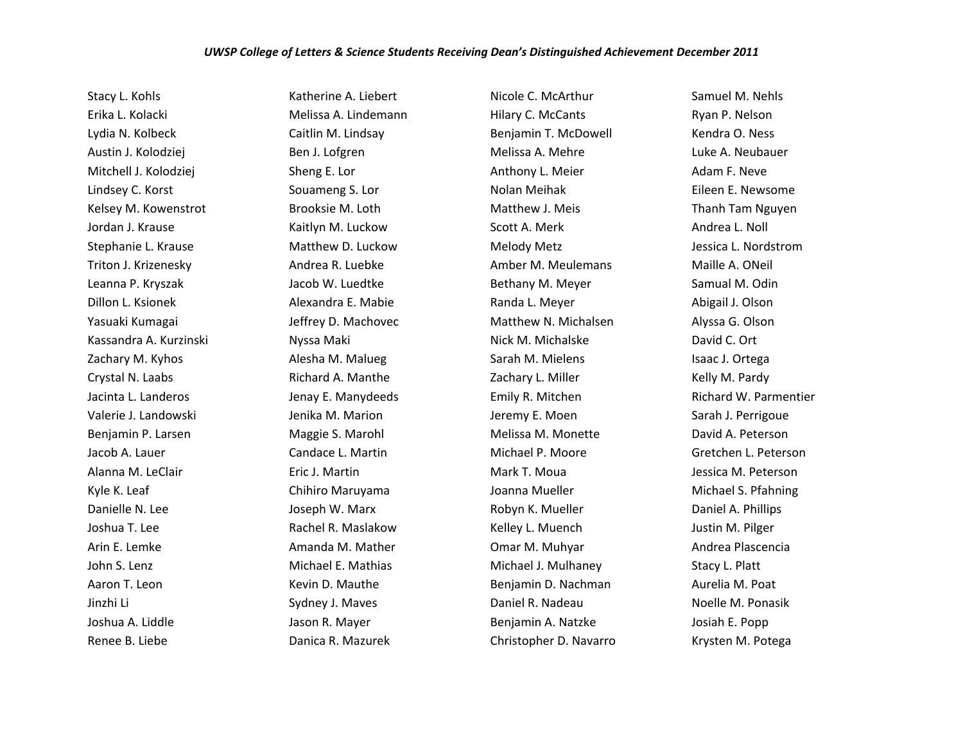Stacy L. Kohls Erika L. Kolacki Lydia N. Kolbeck Austin J. Kolodziej Mitchell J. Kolodziej Lindsey C. Korst Kelsey M. Kowenstrot Jordan J. Krause Stephanie L. Krause Triton J. Krizenesky Leanna P. Kryszak Dillon L. Ksionek Yasuaki Kumagai Kassandra A. Kurzinski Zachary M. Kyhos Crystal N. Laabs Jacinta L. Landeros Valerie J. Landowski Benjamin P. Larsen Jacob A. Lauer Alanna M. LeClair Kyle K. Leaf Danielle N. Lee Joshua T. Lee Arin E. Lemke John S. Lenz Aaron T. Leon Jinzhi Li Joshua A. Liddle Renee B. Liebe

Katherine A. Liebert Melissa A. Lindemann Caitlin M. Lindsay Ben J. Lofgren Sheng E. Lor Souameng S. Lor Brooksie M. Loth Kaitlyn M. Luckow Matthew D. Luckow Andrea R. Luebke Jacob W. Luedtke Alexandra E. Mabie Jeffrey D. Machovec Nyssa Maki Alesha M. Malueg Richard A. Manthe Jenay E. Manydeeds Jenika M. Marion Maggie S. Marohl Candace L. Martin Eric J. Martin Chihiro Maruyama Joseph W. Marx Rachel R. Maslakow Amanda M. Mather Michael E. Mathias Kevin D. Mauthe Sydney J. Maves Jason R. Mayer Danica R. Mazurek

Nicole C. McArthur Hilary C. McCants Benjamin T. McDowell Melissa A. Mehre Anthony L. Meier Nolan Meihak Matthew J. Meis Scott A. Merk Melody Metz Amber M. Meulemans Bethany M. Meyer Randa L. Meyer Matthew N. Michalsen Nick M. Michalske Sarah M. Mielens Zachary L. Miller Emily R. Mitchen Jeremy E. Moen Melissa M. Monette Michael P. Moore Mark T. Moua Joanna Mueller Robyn K. Mueller Kelley L. Muench Omar M. Muhyar Michael J. Mulhaney Benjamin D. Nachman Daniel R. Nadeau Benjamin A. Natzke Christopher D. Navarro Samuel M. Nehls Ryan P. Nelson Kendra O. Ness Luke A. Neubauer Adam F. Neve Eileen E. Newsome Thanh Tam Nguyen Andrea L. Noll Jessica L. Nordstrom Maille A. ONeil Samual M. Odin Abigail J. Olson Alyssa G. Olson David C. Ort Isaac J. Ortega Kelly M. Pardy Richard W. Parmentier Sarah J. Perrigoue David A. Peterson Gretchen L. Peterson Jessica M. Peterson Michael S. Pfahning Daniel A. Phillips Justin M. Pilger Andrea Plascencia Stacy L. Platt Aurelia M. Poat Noelle M. Ponasik Josiah E. Popp Krysten M. Potega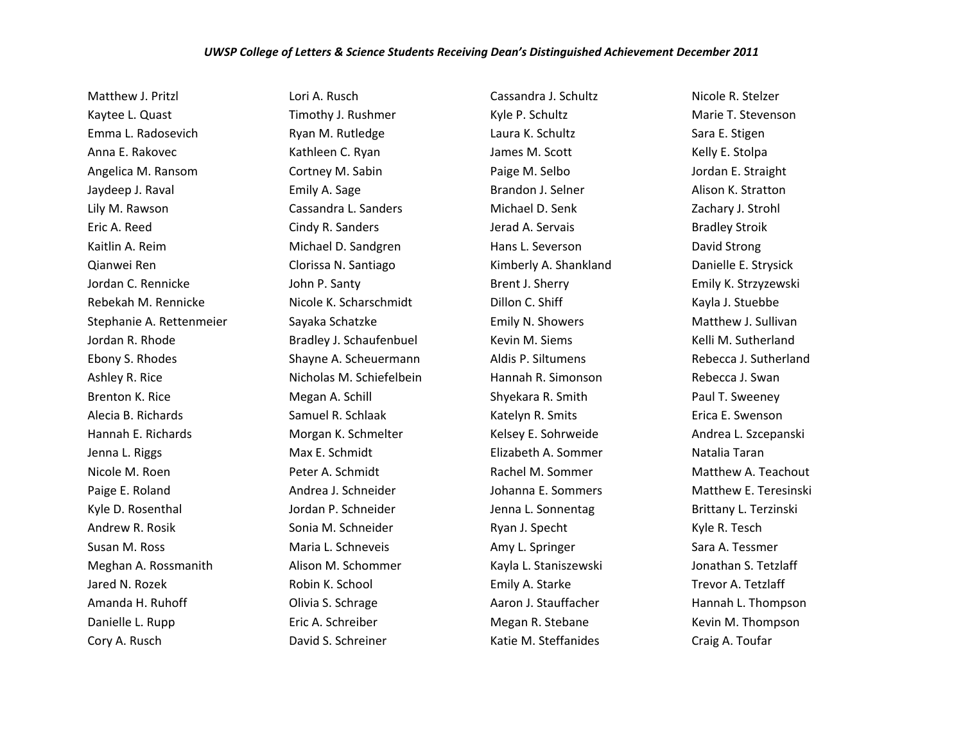## *UWSP College of Letters & Science Students Receiving Dean's Distinguished Achievement December 2011*

Matthew J. Pritzl Kaytee L. Quast Emma L. Radosevich Anna E. Rakovec Angelica M. Ransom Jaydeep J. Raval Lily M. Rawson Eric A. Reed Kaitlin A. Reim Qianwei Ren Jordan C. Rennicke Rebekah M. Rennicke Stephanie A. Rettenmeier Jordan R. Rhode Ebony S. Rhodes Ashley R. Rice Brenton K. Rice Alecia B. Richards Hannah E. Richards Jenna L. Riggs Nicole M. Roen Paige E. Roland Kyle D. Rosenthal Andrew R. Rosik Susan M. Ross Meghan A. Rossmanith Jared N. Rozek Amanda H. Ruhoff Danielle L. Rupp Cory A. Rusch

Lori A. Rusch Timothy J. Rushmer Ryan M. Rutledge Kathleen C. Ryan Cortney M. Sabin Emily A. Sage Cassandra L. Sanders Cindy R. Sanders Michael D. Sandgren Clorissa N. Santiago John P. Santy Nicole K. Scharschmidt Sayaka Schatzke Bradley J. Schaufenbuel Shayne A. Scheuermann Nicholas M. Schiefelbein Megan A. Schill Samuel R. Schlaak Morgan K. Schmelter Max E. Schmidt Peter A. Schmidt Andrea J. Schneider Jordan P. Schneider Sonia M. Schneider Maria L. Schneveis Alison M. Schommer Robin K. School Olivia S. Schrage Eric A. Schreiber David S. Schreiner

Cassandra J. Schultz Kyle P. Schultz Laura K. Schultz James M. Scott Paige M. Selbo Brandon J. Selner Michael D. Senk Jerad A. Servais Hans L. Severson Kimberly A. Shankland Brent J. Sherry Dillon C. Shiff Emily N. Showers Kevin M. Siems Aldis P. Siltumens Hannah R. Simonson Shyekara R. Smith Katelyn R. Smits Kelsey E. Sohrweide Elizabeth A. Sommer Rachel M. Sommer Johanna E. Sommers Jenna L. Sonnentag Ryan J. Specht Amy L. Springer Kayla L. Staniszewski Emily A. Starke Aaron J. Stauffacher Megan R. Stebane Katie M. Steffanides

Nicole R. Stelzer Marie T. Stevenson Sara E. Stigen Kelly E. Stolpa Jordan E. Straight Alison K. Stratton Zachary J. Strohl Bradley Stroik David Strong Danielle E. Strysick Emily K. Strzyzewski Kayla J. Stuebbe Matthew J. Sullivan Kelli M. Sutherland Rebecca J. Sutherland Rebecca J. Swan Paul T. Sweeney Erica E. Swenson Andrea L. Szcepanski Natalia Taran Matthew A. Teachout Matthew E. Teresinski Brittany L. Terzinski Kyle R. Tesch Sara A. Tessmer Jonathan S. Tetzlaff Trevor A. Tetzlaff Hannah L. Thompson Kevin M. Thompson Craig A. Toufar